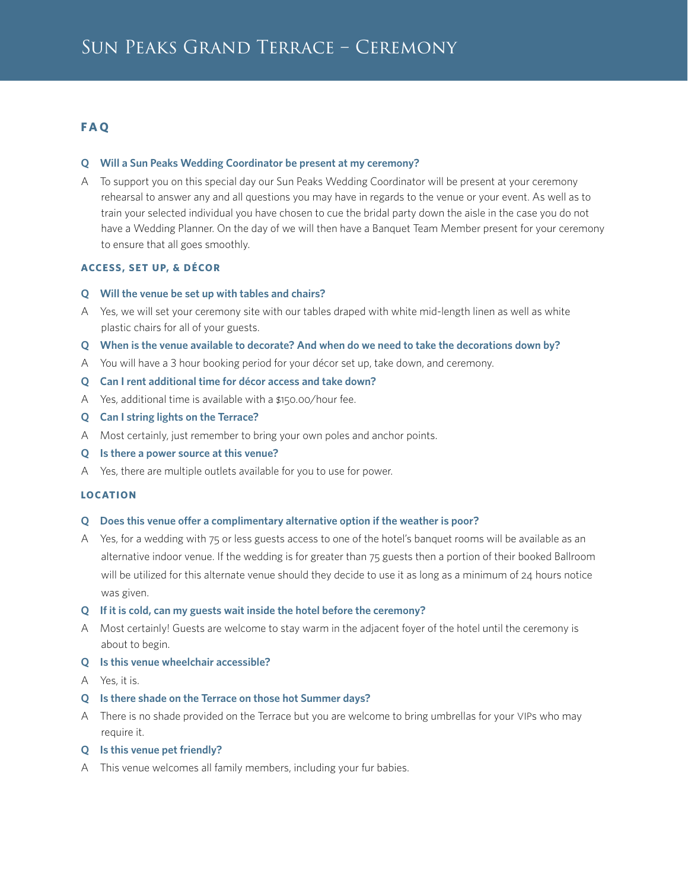# **F A Q**

#### **Q Will a Sun Peaks Wedding Coordinator be present at my ceremony?**

A To support you on this special day our Sun Peaks Wedding Coordinator will be present at your ceremony rehearsal to answer any and all questions you may have in regards to the venue or your event. As well as to train your selected individual you have chosen to cue the bridal party down the aisle in the case you do not have a Wedding Planner. On the day of we will then have a Banquet Team Member present for your ceremony to ensure that all goes smoothly.

## **ACCESS, SET UP, & DÉCOR**

- **Q Will the venue be set up with tables and chairs?**
- A Yes, we will set your ceremony site with our tables draped with white mid-length linen as well as white plastic chairs for all of your guests.
- **Q When is the venue available to decorate? And when do we need to take the decorations down by?**
- A You will have a 3 hour booking period for your décor set up, take down, and ceremony.
- **Q Can I rent additional time for décor access and take down?**
- A Yes, additional time is available with a \$150.00/hour fee.
- **Q Can I string lights on the Terrace?**
- A Most certainly, just remember to bring your own poles and anchor points.
- **Q Is there a power source at this venue?**
- A Yes, there are multiple outlets available for you to use for power.

#### **LOCATION**

#### **Q Does this venue offer a complimentary alternative option if the weather is poor?**

- A Yes, for a wedding with 75 or less guests access to one of the hotel's banquet rooms will be available as an alternative indoor venue. If the wedding is for greater than 75 guests then a portion of their booked Ballroom will be utilized for this alternate venue should they decide to use it as long as a minimum of 24 hours notice was given.
- **Q If it is cold, can my guests wait inside the hotel before the ceremony?**
- A Most certainly! Guests are welcome to stay warm in the adjacent foyer of the hotel until the ceremony is about to begin.

## **Q Is this venue wheelchair accessible?**

- A Yes, it is.
- **Q Is there shade on the Terrace on those hot Summer days?**
- A There is no shade provided on the Terrace but you are welcome to bring umbrellas for your VIPs who may require it.
- **Q Is this venue pet friendly?**
- A This venue welcomes all family members, including your fur babies.